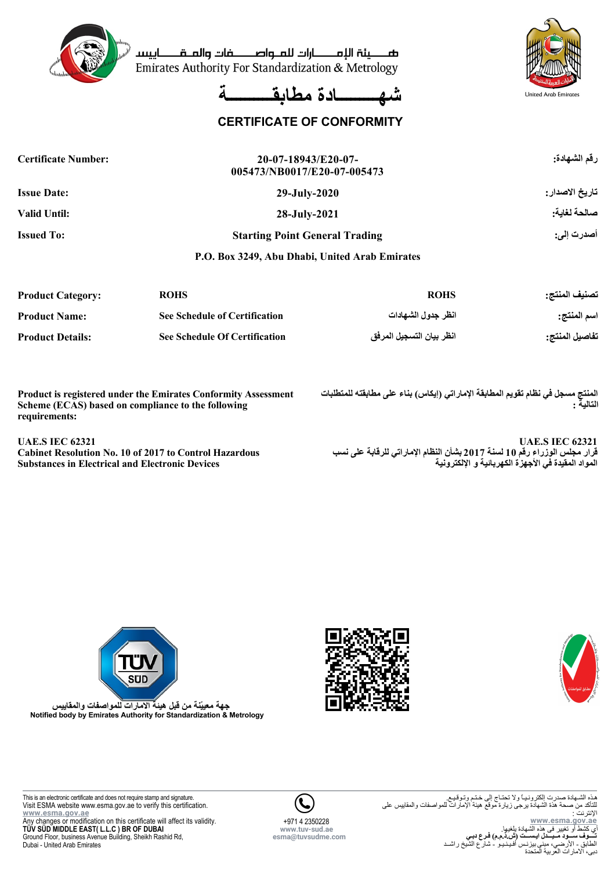

صصينة الإمصارات للملواصصفات والملقصاييسا Emirates Authority For Standardization & Metrology





## **CERTIFICATE OF CONFORMITY**

| <b>Certificate Number:</b> | 20-07-18943/E20-07-<br>005473/NB0017/E20-07-005473 | رقم الشهادة:    |
|----------------------------|----------------------------------------------------|-----------------|
| <b>Issue Date:</b>         | $29$ -July- $2020$                                 | تاريخ الاصدار : |
| <b>Valid Until:</b>        | 28-July-2021                                       | صالحة لغاية:    |
| <b>Issued To:</b>          | <b>Starting Point General Trading</b>              | أصدرت إلى:      |
|                            | P.O. Box 3249, Abu Dhabi, United Arab Emirates     |                 |

| <b>Product Category:</b> | <b>ROHS</b>                          | <b>ROHS</b>              | تصنيف المنتج:  |
|--------------------------|--------------------------------------|--------------------------|----------------|
| <b>Product Name:</b>     | <b>See Schedule of Certification</b> | انظر جدول الشهادات       | اسم المنتج:    |
| <b>Product Details:</b>  | <b>See Schedule Of Certification</b> | انظر بيان التسجيل المرفق | تفاصيل المنتج: |

**Product is registered under the Emirates Conformity Assessment Scheme (ECAS) based on compliance to the following requirements:**

**UAE.S IEC 62321**

**Cabinet Resolution No. 10 of 2017 to Control Hazardous Substances in Electrical and Electronic Devices**

**المنتج مسجل في نظام تقويم المطابقة الإماراتي (إيكاس) بناء على مطابقته للمتطلبات التالية :**

**UAE.S IEC 62321 قرار مجلس الوزراء رقم 10 لسنة 2017 بشأن النظام الإماراتي للرقابة على نسب المواد المقيدة في الأجهزة الكهربائية و الإلكترونية**





**جهة معييّنة من قبل هيئة الامارات للمواصفات والمقاييس Notified body by Emirates Authority for Standardization & Metrology**



**www.esma.gov.ae** Any changes or modification on this certificate will affect its validity. **TÜV SÜD MIDDLE EAST( L.L.C ) BR OF DUBAI** Ground Floor, business Avenue Building, Sheikh Rashid Rd, Dubai - United Arab Emirates



هذه الشـهادة صدرت الكترونـيـاً ولا تحتـاج إلى خـتـم وتـوقـيـع.<br>للتأكد من صـحـة هذة الشهادة يرجى زيارة موقع هيئة الإمارات للمواصفات والمقاييس على الإنترنت : **www.esma.gov.ae** ط أو تغيير فى هذه الش **تــــوف ســـود مــيـــدل ايـســـت (ش.ذ.م.م) فـرع دبـي**<br>الطابق - الأرضـي، مبنى بيزنـس أفـيـنـيـو - شار ع الشيخ راشــد دبى، الامارات العربية المتحدة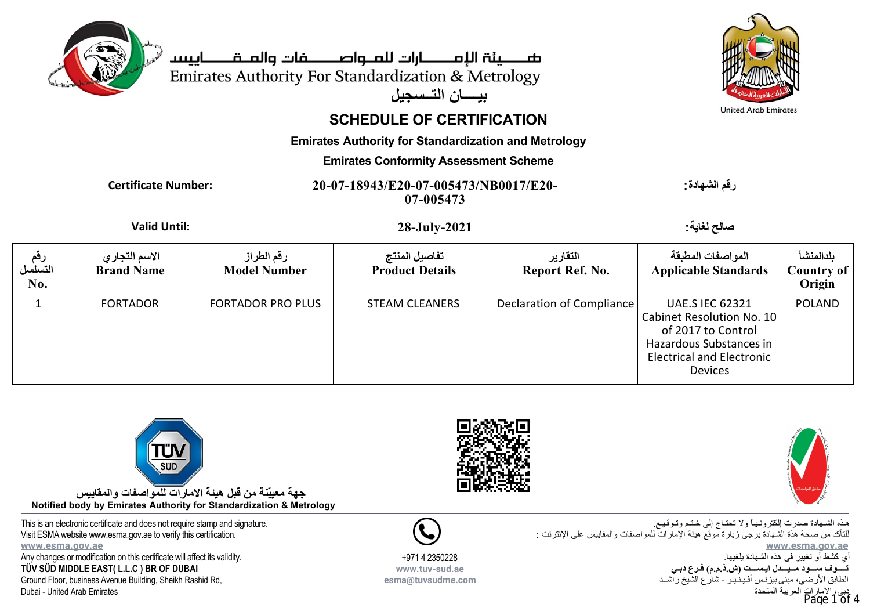



# **SCHEDULE OF CERTIFICATION**

**بيــــان التــسجيل**

**Emirates Authority for Standardization and Metrology**

#### **Emirates Conformity Assessment Scheme**

**Certificate Number: 20-07-18943/E20-07-005473/NB0017/E20- 07-005473**

**رقم الشهادة:**

## **Valid Until: 28-July-2021 :لغاية صالح**

| رقم<br>التسلسل<br>No. | الاسم التجار ي<br><b>Brand Name</b> | رقم الطراز<br><b>Model Number</b> | تفاصيل المنتج<br><b>Product Details</b> | التقارير<br>Report Ref. No. | المواصفات المطبقة<br><b>Applicable Standards</b>                                                                                                           | بلدالمنشأ<br>Country of<br>Origin |
|-----------------------|-------------------------------------|-----------------------------------|-----------------------------------------|-----------------------------|------------------------------------------------------------------------------------------------------------------------------------------------------------|-----------------------------------|
|                       | <b>FORTADOR</b>                     | <b>FORTADOR PRO PLUS</b>          | <b>STEAM CLEANERS</b>                   | Declaration of Compliance   | <b>UAE.S IEC 62321</b><br>Cabinet Resolution No. 10<br>of 2017 to Control<br>Hazardous Substances in<br><b>Electrical and Electronic</b><br><b>Devices</b> | <b>POLAND</b>                     |

+971 4 2350228 **www.tuv-sud.ae esma@tuvsudme.com**



**جهة معييّنة من قبل هيئة الامارات للمواصفات والمقاييس Notified body by Emirates Authority for Standardization & Metrology**

This is an electronic certificate and does not require stamp and signature. Visit ESMA website www.esma.gov.ae to verify this certification. **www.esma.gov.ae** Any changes or modification on this certificate will affect its validity.

**TÜV SÜD MIDDLE EAST( L.L.C ) BR OF DUBAI** Ground Floor, business Avenue Building, Sheikh Rashid Rd,

Dubai - United Arab Emirates





هـذه الشـهادة صدرت إلكترونـيـاً ولا تحتـاج إلى خـتـم وتـوقـيـع. للتأكد من صحة هذة الشهادة يرجى زيارة موقع هيئة الإمارات للمواصفات والمقاييس على الإنترنت : **www.esma.gov.ae** أي كشط أو تغيير فى هذه الشهادة يلغيها. **تــــوف ســـود مــيـــدل ايـســـت (ش.ذ.م.م) فـرع دبـي** الطابق الأرضي، مبنى بيزنـس أفـيـنـيـو - شارع الشيخ راشــد ات العر بية المتحدة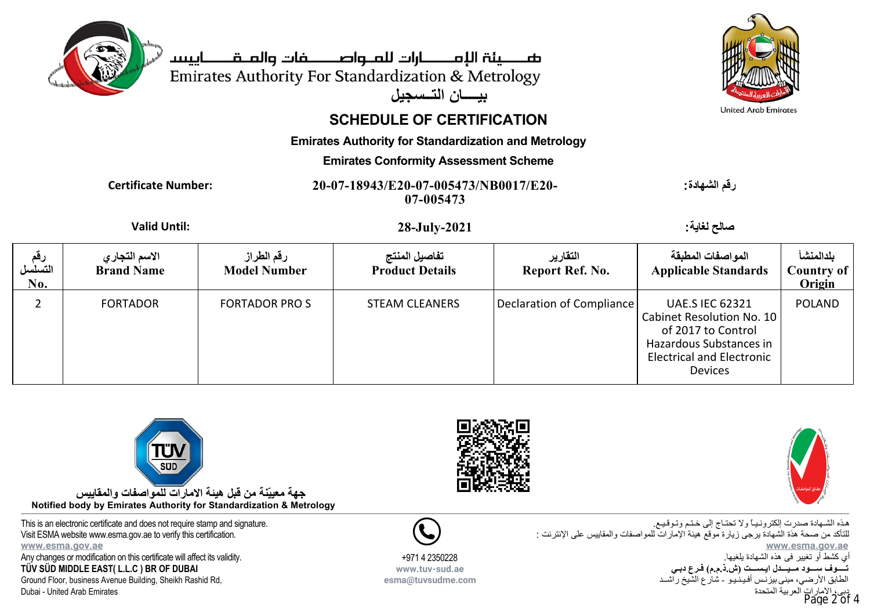



# **SCHEDULE OF CERTIFICATION**

**بيــــان التــسجيل**

**Emirates Authority for Standardization and Metrology**

#### **Emirates Conformity Assessment Scheme**

**Certificate Number: 20-07-18943/E20-07-005473/NB0017/E20- 07-005473**

**رقم الشهادة:**

## **Valid Until: 28-July-2021 :لغاية صالح**

| رقم<br>التسلسل<br>No. | الاسم التجار ي<br><b>Brand Name</b> | رقم الطراز<br><b>Model Number</b> | تفاصيل المنتج<br><b>Product Details</b> | التقارير<br>Report Ref. No. | المواصفات المطبقة<br><b>Applicable Standards</b>                                                                                                           | بلدالمنشأ<br><b>Country of</b><br>Origin |
|-----------------------|-------------------------------------|-----------------------------------|-----------------------------------------|-----------------------------|------------------------------------------------------------------------------------------------------------------------------------------------------------|------------------------------------------|
|                       | <b>FORTADOR</b>                     | <b>FORTADOR PROS</b>              | <b>STEAM CLEANERS</b>                   | Declaration of Compliance   | <b>UAE.S IEC 62321</b><br>Cabinet Resolution No. 10<br>of 2017 to Control<br>Hazardous Substances in<br><b>Electrical and Electronic</b><br><b>Devices</b> | <b>POLAND</b>                            |



**جهة معييّنة من قبل هيئة الامارات للمواصفات والمقاييس Notified body by Emirates Authority for Standardization & Metrology**

This is an electronic certificate and does not require stamp and signature. Visit ESMA website www.esma.gov.ae to verify this certification. **www.esma.gov.ae** Any changes or modification on this certificate will affect its validity.

**TÜV SÜD MIDDLE EAST( L.L.C ) BR OF DUBAI**

Ground Floor, business Avenue Building, Sheikh Rashid Rd, Dubai - United Arab Emirates





هـذه الشـهادة صدرت إلكترونـيـاً ولا تحتـاج إلى خـتـم وتـوقـيـع. للتأكد من صحة هذة الشهادة يرجى زيارة موقع هيئة الإمارات للمواصفات والمقاييس على الإنترنت : **www.esma.gov.ae** أي كشط أو تغيير فى هذه الشهادة يلغيها. **تــــوف ســـود مــيـــدل ايـســـت (ش.ذ.م.م) فـرع دبـي** الطابق الأرضي، مبنى بيزنـس أفـيـنـيـو - شارع الشيخ راشــد ات العر بية المتحدة



+971 4 2350228 **www.tuv-sud.ae esma@tuvsudme.com**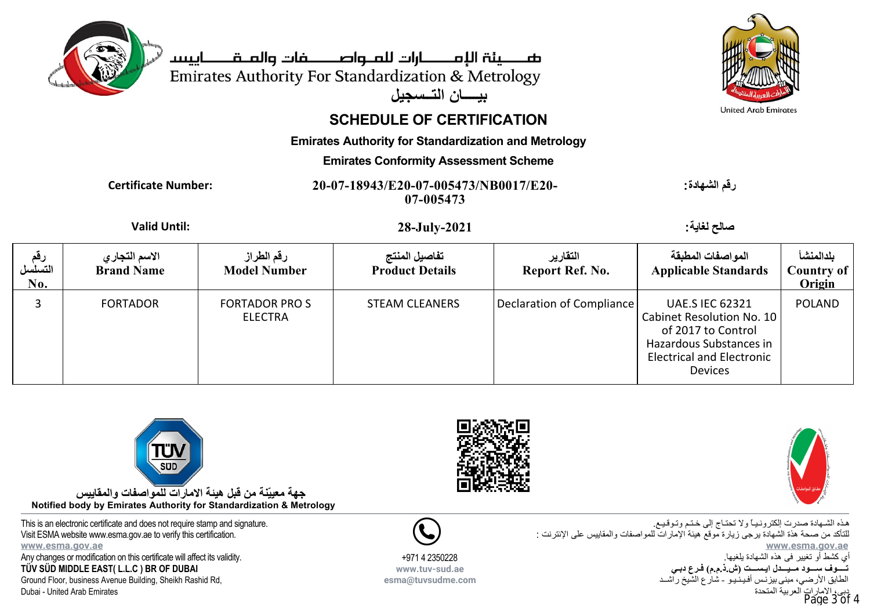



# **SCHEDULE OF CERTIFICATION**

**بيــــان التــسجيل**

**Emirates Authority for Standardization and Metrology**

#### **Emirates Conformity Assessment Scheme**

**Certificate Number: 20-07-18943/E20-07-005473/NB0017/E20- 07-005473**

**رقم الشهادة:**

## **Valid Until: 28-July-2021 :لغاية صالح**

| رقم<br>التسلسل<br>$\bf{No}.$ | الاسم التجاري<br><b>Brand Name</b> | رقم الطراز<br><b>Model Number</b>      | تفاصيل المنتج<br><b>Product Details</b> | التقارير<br>Report Ref. No. | المواصفات المطبقة<br><b>Applicable Standards</b>                                                                                                           | بلدالمنشأ<br>Country of<br>Origin |
|------------------------------|------------------------------------|----------------------------------------|-----------------------------------------|-----------------------------|------------------------------------------------------------------------------------------------------------------------------------------------------------|-----------------------------------|
|                              | <b>FORTADOR</b>                    | <b>FORTADOR PROS</b><br><b>ELECTRA</b> | <b>STEAM CLEANERS</b>                   | Declaration of Compliance   | <b>UAE.S IEC 62321</b><br>Cabinet Resolution No. 10<br>of 2017 to Control<br>Hazardous Substances in<br><b>Electrical and Electronic</b><br><b>Devices</b> | <b>POLAND</b>                     |



**جهة معييّنة من قبل هيئة الامارات للمواصفات والمقاييس Notified body by Emirates Authority for Standardization & Metrology**

This is an electronic certificate and does not require stamp and signature. Visit ESMA website www.esma.gov.ae to verify this certification. **www.esma.gov.ae** Any changes or modification on this certificate will affect its validity.

**TÜV SÜD MIDDLE EAST( L.L.C ) BR OF DUBAI**

Ground Floor, business Avenue Building, Sheikh Rashid Rd, Dubai - United Arab Emirates





هـذه الشـهادة صدرت إلكترونـيـاً ولا تحتـاج إلى خـتـم وتـوقـيـع. للتأكد من صحة هذة الشهادة يرجى زيارة موقع هيئة الإمارات للمواصفات والمقاييس على الإنترنت : **www.esma.gov.ae** أي كشط أو تغيير فى هذه الشهادة يلغيها. **تــــوف ســـود مــيـــدل ايـســـت (ش.ذ.م.م) فـرع دبـي** الطابق الأرضي، مبنى بيزنـس أفـيـنـيـو - شارع الشيخ راشــد ت العر بية المتحدة



+971 4 2350228 **www.tuv-sud.ae esma@tuvsudme.com**